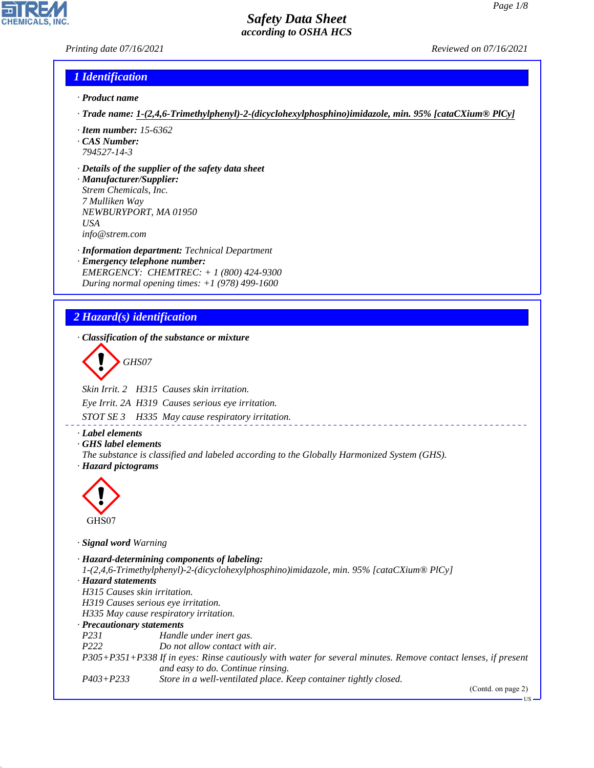#### *Printing date 07/16/2021 Reviewed on 07/16/2021*

#### *1 Identification*

- *· Product name*
- *· Trade name: 1-(2,4,6-Trimethylphenyl)-2-(dicyclohexylphosphino)imidazole, min. 95% [cataCXium® PlCy]*
- *· Item number: 15-6362 · CAS Number:*
- *794527-14-3*
- *· Details of the supplier of the safety data sheet*
- *· Manufacturer/Supplier: Strem Chemicals, Inc. 7 Mulliken Way NEWBURYPORT, MA 01950 USA info@strem.com*
- *· Information department: Technical Department · Emergency telephone number: EMERGENCY: CHEMTREC: + 1 (800) 424-9300 During normal opening times: +1 (978) 499-1600*

# *2 Hazard(s) identification*

*· Classification of the substance or mixture*

d~*GHS07*

*Skin Irrit. 2 H315 Causes skin irritation. Eye Irrit. 2A H319 Causes serious eye irritation.*

*STOT SE 3 H335 May cause respiratory irritation.*

- *· Label elements*
- *· GHS label elements*

*The substance is classified and labeled according to the Globally Harmonized System (GHS). · Hazard pictograms*



44.1.1

*· Signal word Warning*

*· Hazard-determining components of labeling: 1-(2,4,6-Trimethylphenyl)-2-(dicyclohexylphosphino)imidazole, min. 95% [cataCXium® PlCy] · Hazard statements H315 Causes skin irritation. H319 Causes serious eye irritation. H335 May cause respiratory irritation. · Precautionary statements P231 Handle under inert gas. P222 Do not allow contact with air. P305+P351+P338 If in eyes: Rinse cautiously with water for several minutes. Remove contact lenses, if present and easy to do. Continue rinsing. P403+P233 Store in a well-ventilated place. Keep container tightly closed.*

(Contd. on page 2)

US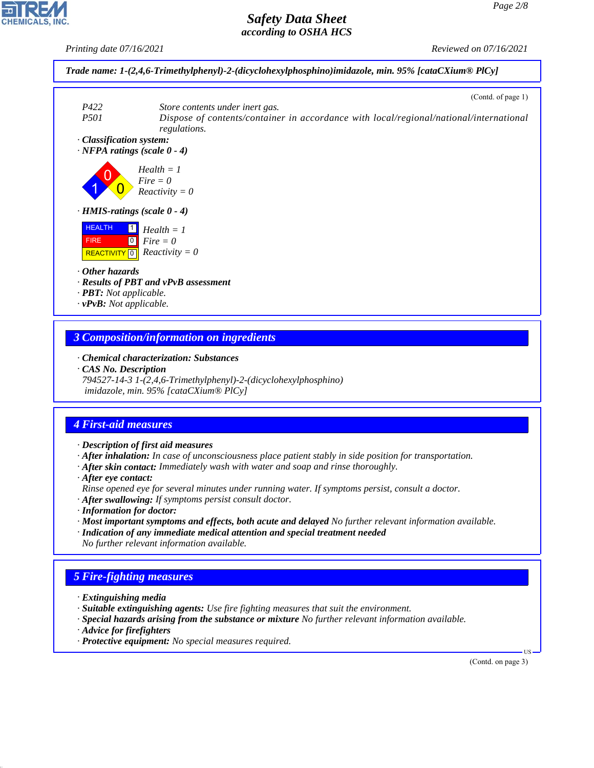*Printing date 07/16/2021 Reviewed on 07/16/2021*



#### *3 Composition/information on ingredients*

*· Chemical characterization: Substances*

*· CAS No. Description*

*794527-14-3 1-(2,4,6-Trimethylphenyl)-2-(dicyclohexylphosphino) imidazole, min. 95% [cataCXium® PlCy]*

## *4 First-aid measures*

*· Description of first aid measures*

*· After inhalation: In case of unconsciousness place patient stably in side position for transportation.*

- *· After skin contact: Immediately wash with water and soap and rinse thoroughly.*
- *· After eye contact:*

*Rinse opened eye for several minutes under running water. If symptoms persist, consult a doctor.*

- *· After swallowing: If symptoms persist consult doctor.*
- *· Information for doctor:*
- *· Most important symptoms and effects, both acute and delayed No further relevant information available.*
- *· Indication of any immediate medical attention and special treatment needed No further relevant information available.*

## *5 Fire-fighting measures*

- *· Extinguishing media*
- *· Suitable extinguishing agents: Use fire fighting measures that suit the environment.*
- *· Special hazards arising from the substance or mixture No further relevant information available.*
- *· Advice for firefighters*

44.1.1

*· Protective equipment: No special measures required.*

(Contd. on page 3)

US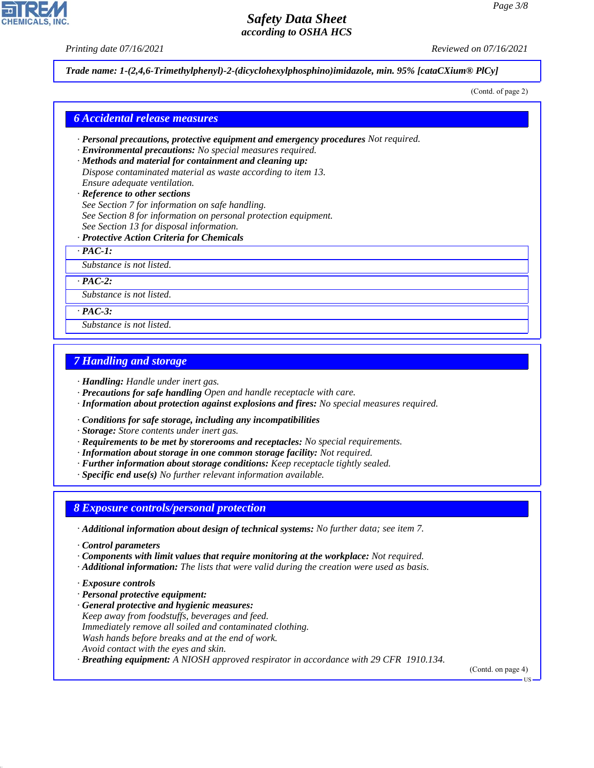*Printing date 07/16/2021 Reviewed on 07/16/2021*

*Trade name: 1-(2,4,6-Trimethylphenyl)-2-(dicyclohexylphosphino)imidazole, min. 95% [cataCXium® PlCy]*

(Contd. of page 2)

#### *6 Accidental release measures*

- *· Personal precautions, protective equipment and emergency procedures Not required.*
- *· Environmental precautions: No special measures required.*
- *· Methods and material for containment and cleaning up: Dispose contaminated material as waste according to item 13. Ensure adequate ventilation.*
- *· Reference to other sections See Section 7 for information on safe handling. See Section 8 for information on personal protection equipment. See Section 13 for disposal information.*
- *· Protective Action Criteria for Chemicals*

*· PAC-1:*

*Substance is not listed.*

*· PAC-2:*

*Substance is not listed.*

*· PAC-3:*

*Substance is not listed.*

### *7 Handling and storage*

*· Handling: Handle under inert gas.*

- *· Precautions for safe handling Open and handle receptacle with care.*
- *· Information about protection against explosions and fires: No special measures required.*
- *· Conditions for safe storage, including any incompatibilities*
- *· Storage: Store contents under inert gas.*
- *· Requirements to be met by storerooms and receptacles: No special requirements.*
- *· Information about storage in one common storage facility: Not required.*
- *· Further information about storage conditions: Keep receptacle tightly sealed.*
- *· Specific end use(s) No further relevant information available.*

#### *8 Exposure controls/personal protection*

- *· Additional information about design of technical systems: No further data; see item 7.*
- *· Control parameters*
- *· Components with limit values that require monitoring at the workplace: Not required.*
- *· Additional information: The lists that were valid during the creation were used as basis.*
- *· Exposure controls*

44.1.1

- *· Personal protective equipment:*
- *· General protective and hygienic measures: Keep away from foodstuffs, beverages and feed. Immediately remove all soiled and contaminated clothing. Wash hands before breaks and at the end of work. Avoid contact with the eyes and skin.*

*· Breathing equipment: A NIOSH approved respirator in accordance with 29 CFR 1910.134.*

(Contd. on page 4)



US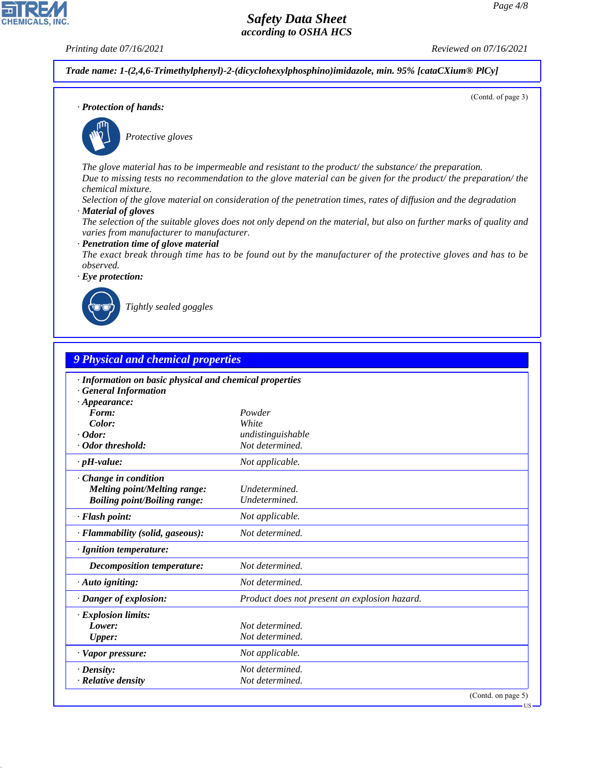**CHEMICALS, INC** 

*Printing date 07/16/2021 Reviewed on 07/16/2021*

(Contd. of page 3)

*Trade name: 1-(2,4,6-Trimethylphenyl)-2-(dicyclohexylphosphino)imidazole, min. 95% [cataCXium® PlCy]*

*· Protection of hands:*



\_S*Protective gloves*

*The glove material has to be impermeable and resistant to the product/ the substance/ the preparation. Due to missing tests no recommendation to the glove material can be given for the product/ the preparation/ the chemical mixture.*

*Selection of the glove material on consideration of the penetration times, rates of diffusion and the degradation*

*· Material of gloves*

*The selection of the suitable gloves does not only depend on the material, but also on further marks of quality and varies from manufacturer to manufacturer.*

*· Penetration time of glove material*

*The exact break through time has to be found out by the manufacturer of the protective gloves and has to be observed.*

*· Eye protection:*



44.1.1

\_R*Tightly sealed goggles*

| <b>9 Physical and chemical properties</b>                                                                    |                                               |  |
|--------------------------------------------------------------------------------------------------------------|-----------------------------------------------|--|
| · Information on basic physical and chemical properties<br><b>General Information</b><br>$\cdot$ Appearance: |                                               |  |
| Form:                                                                                                        | Powder                                        |  |
| Color:                                                                                                       | White                                         |  |
| $\cdot$ Odor:                                                                                                | undistinguishable                             |  |
| · Odor threshold:                                                                                            | Not determined.                               |  |
| $\cdot$ pH-value:                                                                                            | Not applicable.                               |  |
| Change in condition<br>Melting point/Melting range:<br><b>Boiling point/Boiling range:</b>                   | Undetermined.<br>Undetermined.                |  |
| · Flash point:                                                                                               | Not applicable.                               |  |
| · Flammability (solid, gaseous):                                                                             | Not determined.                               |  |
| · Ignition temperature:                                                                                      |                                               |  |
| <b>Decomposition temperature:</b>                                                                            | Not determined.                               |  |
| $\cdot$ Auto igniting:                                                                                       | Not determined.                               |  |
| · Danger of explosion:                                                                                       | Product does not present an explosion hazard. |  |
| · Explosion limits:                                                                                          |                                               |  |
| Lower:                                                                                                       | Not determined.                               |  |
| <b>Upper:</b>                                                                                                | Not determined.                               |  |
| · Vapor pressure:                                                                                            | Not applicable.                               |  |
| $\cdot$ Density:                                                                                             | Not determined.                               |  |
| · Relative density                                                                                           | Not determined.                               |  |

**IIS**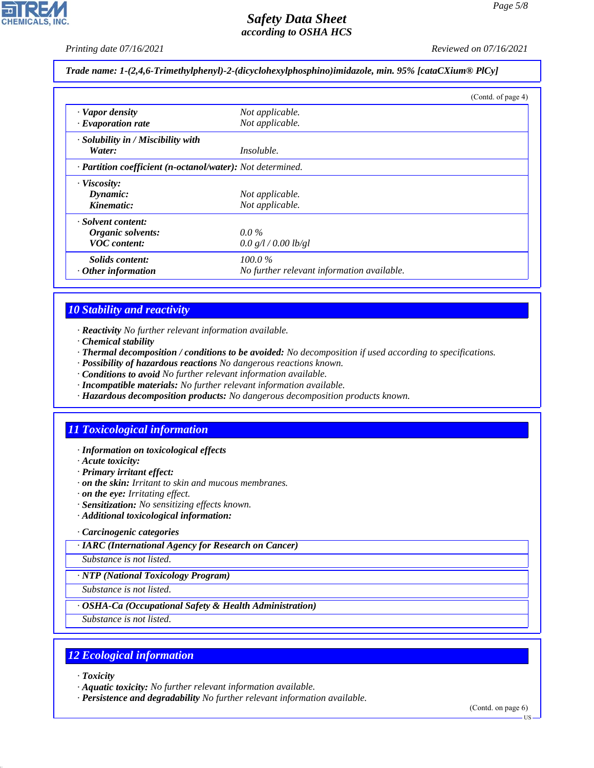*Printing date 07/16/2021 Reviewed on 07/16/2021*

#### *Trade name: 1-(2,4,6-Trimethylphenyl)-2-(dicyclohexylphosphino)imidazole, min. 95% [cataCXium® PlCy]*

|                                                            |                                            | (Contd. of page 4) |
|------------------------------------------------------------|--------------------------------------------|--------------------|
| · Vapor density                                            | Not applicable.                            |                    |
| $\cdot$ Evaporation rate                                   | Not applicable.                            |                    |
| · Solubility in / Miscibility with                         |                                            |                    |
| Water:                                                     | <i>Insoluble.</i>                          |                    |
| · Partition coefficient (n-octanol/water): Not determined. |                                            |                    |
| · Viscosity:                                               |                                            |                    |
| Dynamic:                                                   | Not applicable.                            |                    |
| Kinematic:                                                 | Not applicable.                            |                    |
| · Solvent content:                                         |                                            |                    |
| Organic solvents:                                          | $0.0\%$                                    |                    |
| <b>VOC</b> content:                                        | 0.0 g/l / 0.00 lb/gl                       |                    |
| Solids content:                                            | $100.0\%$                                  |                    |
| $\cdot$ Other information                                  | No further relevant information available. |                    |

## *10 Stability and reactivity*

- *· Reactivity No further relevant information available.*
- *· Chemical stability*
- *· Thermal decomposition / conditions to be avoided: No decomposition if used according to specifications.*
- *· Possibility of hazardous reactions No dangerous reactions known.*
- *· Conditions to avoid No further relevant information available.*
- *· Incompatible materials: No further relevant information available.*
- *· Hazardous decomposition products: No dangerous decomposition products known.*

## *11 Toxicological information*

- *· Information on toxicological effects*
- *· Acute toxicity:*
- *· Primary irritant effect:*
- *· on the skin: Irritant to skin and mucous membranes.*
- *· on the eye: Irritating effect.*
- *· Sensitization: No sensitizing effects known.*
- *· Additional toxicological information:*

#### *· Carcinogenic categories*

*· IARC (International Agency for Research on Cancer)*

*Substance is not listed.*

#### *· NTP (National Toxicology Program)*

*Substance is not listed.*

#### *· OSHA-Ca (Occupational Safety & Health Administration)*

*Substance is not listed.*

## *12 Ecological information*

*· Toxicity*

44.1.1

*· Aquatic toxicity: No further relevant information available.*

*· Persistence and degradability No further relevant information available.*

(Contd. on page 6)

US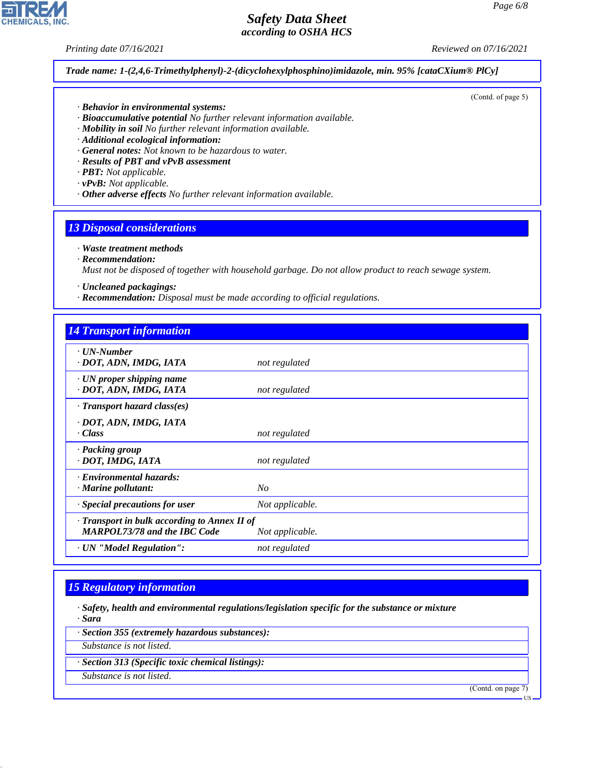*Printing date 07/16/2021 Reviewed on 07/16/2021*

*Trade name: 1-(2,4,6-Trimethylphenyl)-2-(dicyclohexylphosphino)imidazole, min. 95% [cataCXium® PlCy]*

- *· Behavior in environmental systems:*
- *· Bioaccumulative potential No further relevant information available.*
- *· Mobility in soil No further relevant information available.*
- *· Additional ecological information:*
- *· General notes: Not known to be hazardous to water.*
- *· Results of PBT and vPvB assessment*
- *· PBT: Not applicable.*
- *· vPvB: Not applicable.*
- *· Other adverse effects No further relevant information available.*

#### *13 Disposal considerations*

- *· Waste treatment methods*
- *· Recommendation:*

*Must not be disposed of together with household garbage. Do not allow product to reach sewage system.*

- *· Uncleaned packagings:*
- *· Recommendation: Disposal must be made according to official regulations.*

| <b>14 Transport information</b>                                                     |                 |
|-------------------------------------------------------------------------------------|-----------------|
| $\cdot$ UN-Number<br>· DOT, ADN, IMDG, IATA                                         | not regulated   |
| $\cdot$ UN proper shipping name<br>· DOT, ADN, IMDG, IATA                           | not regulated   |
| $\cdot$ Transport hazard class(es)                                                  |                 |
| · DOT, ADN, IMDG, IATA<br>· Class                                                   | not regulated   |
| · Packing group<br>· DOT, IMDG, IATA                                                | not regulated   |
| · Environmental hazards:<br>$\cdot$ Marine pollutant:                               | No              |
| $\cdot$ Special precautions for user                                                | Not applicable. |
| · Transport in bulk according to Annex II of<br><b>MARPOL73/78 and the IBC Code</b> | Not applicable. |
| · UN "Model Regulation":                                                            | not regulated   |

#### *15 Regulatory information*

*· Safety, health and environmental regulations/legislation specific for the substance or mixture · Sara*

*· Section 355 (extremely hazardous substances):*

*Substance is not listed.*

*· Section 313 (Specific toxic chemical listings):*

*Substance is not listed.*

44.1.1

(Contd. on page 7)



## (Contd. of page 5)

US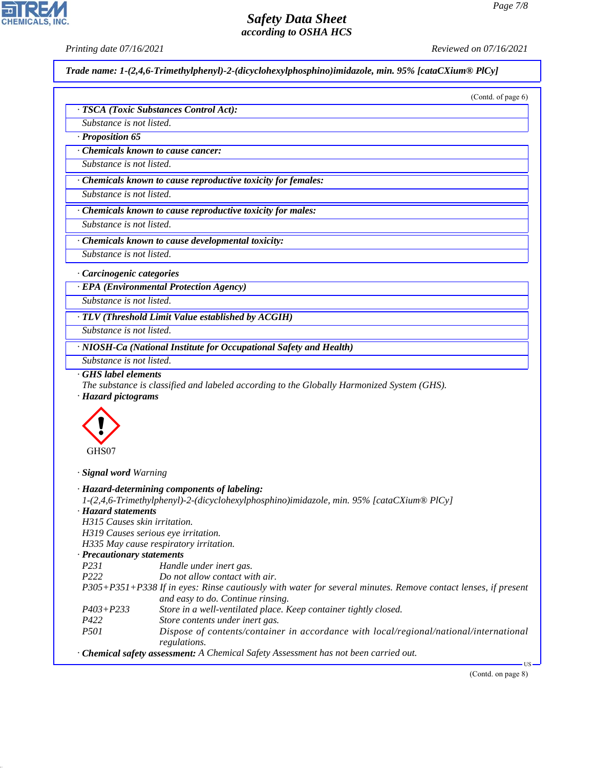*Printing date 07/16/2021 Reviewed on 07/16/2021*

*Trade name: 1-(2,4,6-Trimethylphenyl)-2-(dicyclohexylphosphino)imidazole, min. 95% [cataCXium® PlCy]*

|                                                     | · TSCA (Toxic Substances Control Act):                                                                                                                                                                                                                                                                          |
|-----------------------------------------------------|-----------------------------------------------------------------------------------------------------------------------------------------------------------------------------------------------------------------------------------------------------------------------------------------------------------------|
|                                                     |                                                                                                                                                                                                                                                                                                                 |
| Substance is not listed.                            |                                                                                                                                                                                                                                                                                                                 |
| · Proposition 65                                    |                                                                                                                                                                                                                                                                                                                 |
|                                                     | Chemicals known to cause cancer:                                                                                                                                                                                                                                                                                |
| Substance is not listed.                            |                                                                                                                                                                                                                                                                                                                 |
|                                                     | · Chemicals known to cause reproductive toxicity for females:                                                                                                                                                                                                                                                   |
| Substance is not listed.                            |                                                                                                                                                                                                                                                                                                                 |
|                                                     | · Chemicals known to cause reproductive toxicity for males:                                                                                                                                                                                                                                                     |
| Substance is not listed.                            |                                                                                                                                                                                                                                                                                                                 |
|                                                     | · Chemicals known to cause developmental toxicity:                                                                                                                                                                                                                                                              |
| Substance is not listed.                            |                                                                                                                                                                                                                                                                                                                 |
| · Carcinogenic categories                           |                                                                                                                                                                                                                                                                                                                 |
|                                                     | · EPA (Environmental Protection Agency)                                                                                                                                                                                                                                                                         |
| Substance is not listed.                            |                                                                                                                                                                                                                                                                                                                 |
|                                                     | · TLV (Threshold Limit Value established by ACGIH)                                                                                                                                                                                                                                                              |
| Substance is not listed.                            |                                                                                                                                                                                                                                                                                                                 |
|                                                     | · NIOSH-Ca (National Institute for Occupational Safety and Health)                                                                                                                                                                                                                                              |
| Substance is not listed.                            |                                                                                                                                                                                                                                                                                                                 |
| GHS label elements<br>· Hazard pictograms           | The substance is classified and labeled according to the Globally Harmonized System (GHS).                                                                                                                                                                                                                      |
| GHS07                                               |                                                                                                                                                                                                                                                                                                                 |
| · Signal word Warning                               |                                                                                                                                                                                                                                                                                                                 |
| · Hazard statements<br>H315 Causes skin irritation. | · Hazard-determining components of labeling:<br>1-(2,4,6-Trimethylphenyl)-2-(dicyclohexylphosphino)imidazole, min. 95% [cataCXium® PlCy]<br>H319 Causes serious eye irritation.<br>H335 May cause respiratory irritation.                                                                                       |
| · Precautionary statements                          |                                                                                                                                                                                                                                                                                                                 |
| P231                                                | Handle under inert gas.                                                                                                                                                                                                                                                                                         |
| P222                                                | Do not allow contact with air.                                                                                                                                                                                                                                                                                  |
| $P403 + P233$                                       | and easy to do. Continue rinsing.<br>Store in a well-ventilated place. Keep container tightly closed.                                                                                                                                                                                                           |
| P422                                                | Store contents under inert gas.                                                                                                                                                                                                                                                                                 |
| P501                                                |                                                                                                                                                                                                                                                                                                                 |
|                                                     | P305+P351+P338 If in eyes: Rinse cautiously with water for several minutes. Remove contact lenses, if present<br>Dispose of contents/container in accordance with local/regional/national/international<br>regulations.<br>· Chemical safety assessment: A Chemical Safety Assessment has not been carried out. |



44.1.1